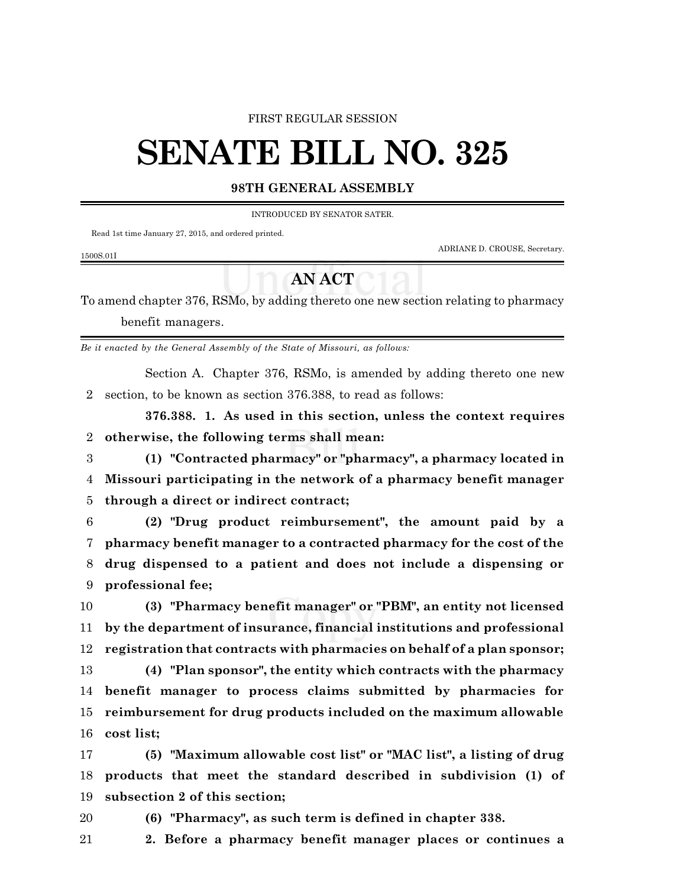#### FIRST REGULAR SESSION

# **SENATE BILL NO. 325**

### **98TH GENERAL ASSEMBLY**

#### INTRODUCED BY SENATOR SATER.

Read 1st time January 27, 2015, and ordered printed.

ADRIANE D. CROUSE, Secretary.

#### 1500S.01I

## **AN ACT**

To amend chapter 376, RSMo, by adding thereto one new section relating to pharmacy benefit managers.

*Be it enacted by the General Assembly of the State of Missouri, as follows:*

Section A. Chapter 376, RSMo, is amended by adding thereto one new section, to be known as section 376.388, to read as follows:

**376.388. 1. As used in this section, unless the context requires otherwise, the following terms shall mean:**

 **(1) "Contracted pharmacy" or "pharmacy", a pharmacy located in Missouri participating in the network of a pharmacy benefit manager through a direct or indirect contract;**

 **(2) "Drug product reimbursement", the amount paid by a pharmacy benefit manager to a contracted pharmacy for the cost of the drug dispensed to a patient and does not include a dispensing or professional fee;**

 **(3) "Pharmacy benefit manager" or "PBM", an entity not licensed by the department of insurance, financial institutions and professional registration that contracts with pharmacies on behalf of a plan sponsor;**

 **(4) "Plan sponsor", the entity which contracts with the pharmacy benefit manager to process claims submitted by pharmacies for reimbursement for drug products included on the maximum allowable cost list;**

 **(5) "Maximum allowable cost list" or "MAC list", a listing of drug products that meet the standard described in subdivision (1) of subsection 2 of this section;**

- **(6) "Pharmacy", as such term is defined in chapter 338.**
- **2. Before a pharmacy benefit manager places or continues a**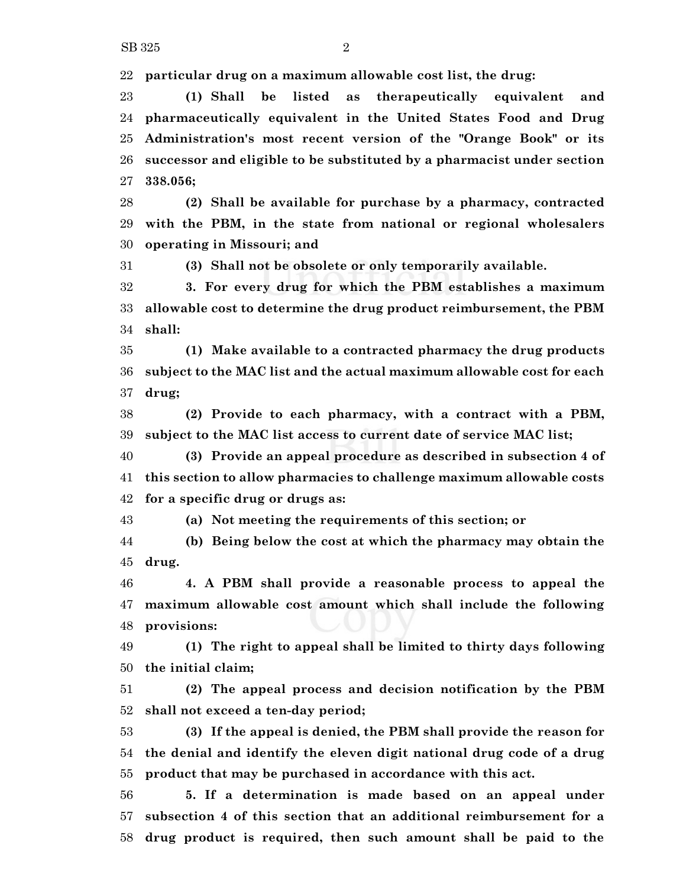**particular drug on a maximum allowable cost list, the drug:**

 **(1) Shall be listed as therapeutically equivalent and pharmaceutically equivalent in the United States Food and Drug Administration's most recent version of the "Orange Book" or its successor and eligible to be substituted by a pharmacist under section 338.056;**

 **(2) Shall be available for purchase by a pharmacy, contracted with the PBM, in the state from national or regional wholesalers operating in Missouri; and**

**(3) Shall not be obsolete or only temporarily available.**

 **3. For every drug for which the PBM establishes a maximum allowable cost to determine the drug product reimbursement, the PBM shall:**

 **(1) Make available to a contracted pharmacy the drug products subject to the MAC list and the actual maximum allowable cost for each drug;**

 **(2) Provide to each pharmacy, with a contract with a PBM, subject to the MAC list access to current date of service MAC list;**

 **(3) Provide an appeal procedure as described in subsection 4 of this section to allow pharmacies to challenge maximum allowable costs for a specific drug or drugs as:**

**(a) Not meeting the requirements of this section; or**

 **(b) Being below the cost at which the pharmacy may obtain the drug.**

 **4. A PBM shall provide a reasonable process to appeal the maximum allowable cost amount which shall include the following provisions:**

 **(1) The right to appeal shall be limited to thirty days following the initial claim;**

 **(2) The appeal process and decision notification by the PBM shall not exceed a ten-day period;**

 **(3) If the appeal is denied, the PBM shall provide the reason for the denial and identify the eleven digit national drug code of a drug product that may be purchased in accordance with this act.**

 **5. If a determination is made based on an appeal under subsection 4 of this section that an additional reimbursement for a drug product is required, then such amount shall be paid to the**